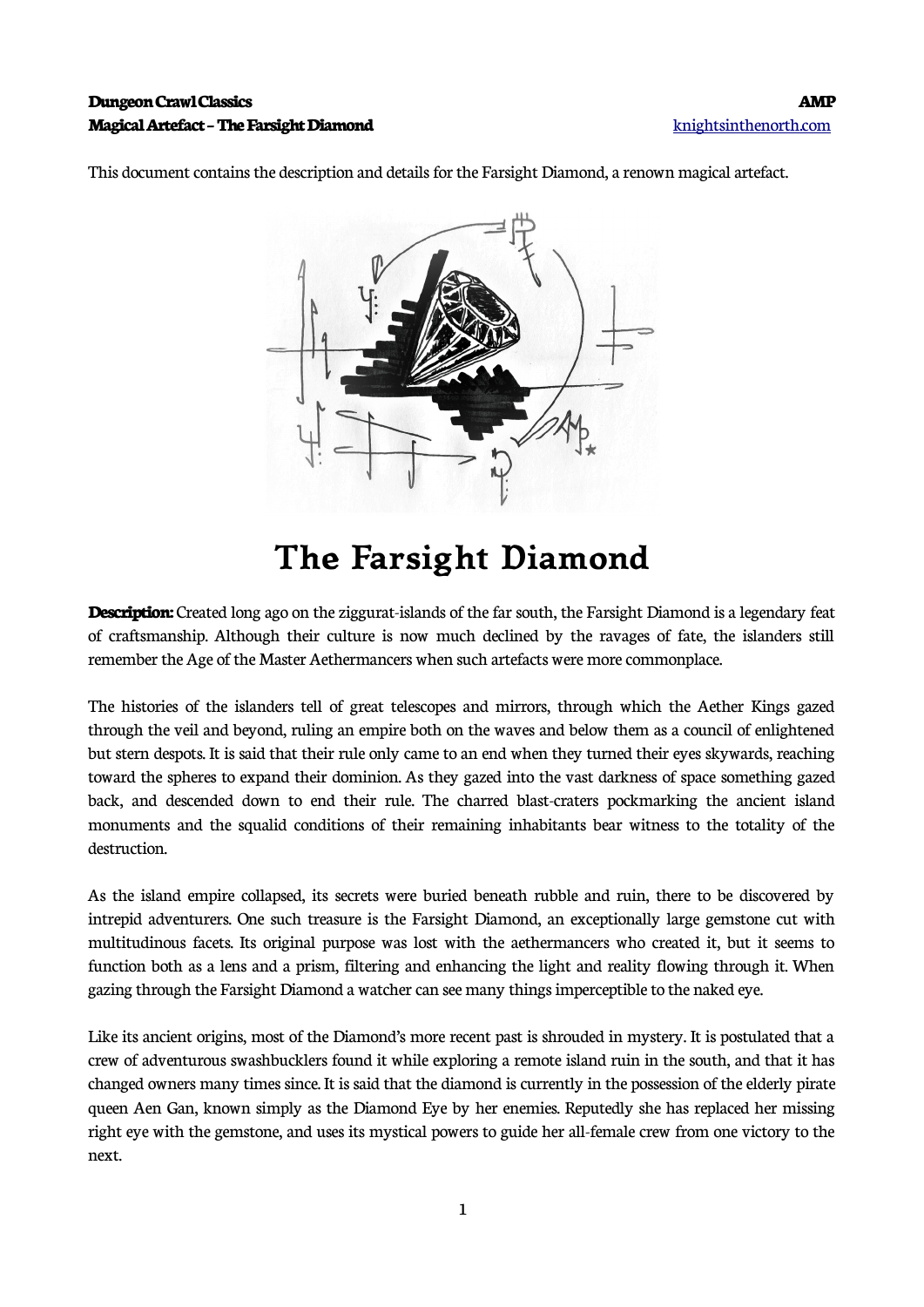## **Dungeon Crawl Classics AMP Magical Artefact – The Farsight Diamond** [knightsinthenorth.com](http://knightsinthenorth.com/)

This document contains the description and details for the Farsight Diamond, a renown magical artefact.



## **The Farsight Diamond**

**Description:** Created long ago on the ziggurat-islands of the far south, the Farsight Diamond is a legendary feat of craftsmanship. Although their culture is now much declined by the ravages of fate, the islanders still remember the Age of the Master Aethermancers when such artefacts were more commonplace.

The histories of the islanders tell of great telescopes and mirrors, through which the Aether Kings gazed through the veil and beyond, ruling an empire both on the waves and below them as a council of enlightened but stern despots. It is said that their rule only came to an end when they turned their eyes skywards, reaching toward the spheres to expand their dominion. As they gazed into the vast darkness of space something gazed back, and descended down to end their rule. The charred blast-craters pockmarking the ancient island monuments and the squalid conditions of their remaining inhabitants bear witness to the totality of the destruction.

As the island empire collapsed, its secrets were buried beneath rubble and ruin, there to be discovered by intrepid adventurers. One such treasure is the Farsight Diamond, an exceptionally large gemstone cut with multitudinous facets. Its original purpose was lost with the aethermancers who created it, but it seems to function both as a lens and a prism, filtering and enhancing the light and reality flowing through it. When gazing through the Farsight Diamond a watcher can see many things imperceptible to the naked eye.

Like its ancient origins, most of the Diamond's more recent past is shrouded in mystery. It is postulated that a crew of adventurous swashbucklers found it while exploring a remote island ruin in the south, and that it has changed owners many times since. It is said that the diamond is currently in the possession of the elderly pirate queen Aen Gan, known simply as the Diamond Eye by her enemies. Reputedly she has replaced her missing right eye with the gemstone, and uses its mystical powers to guide her all-female crew from one victory to the next.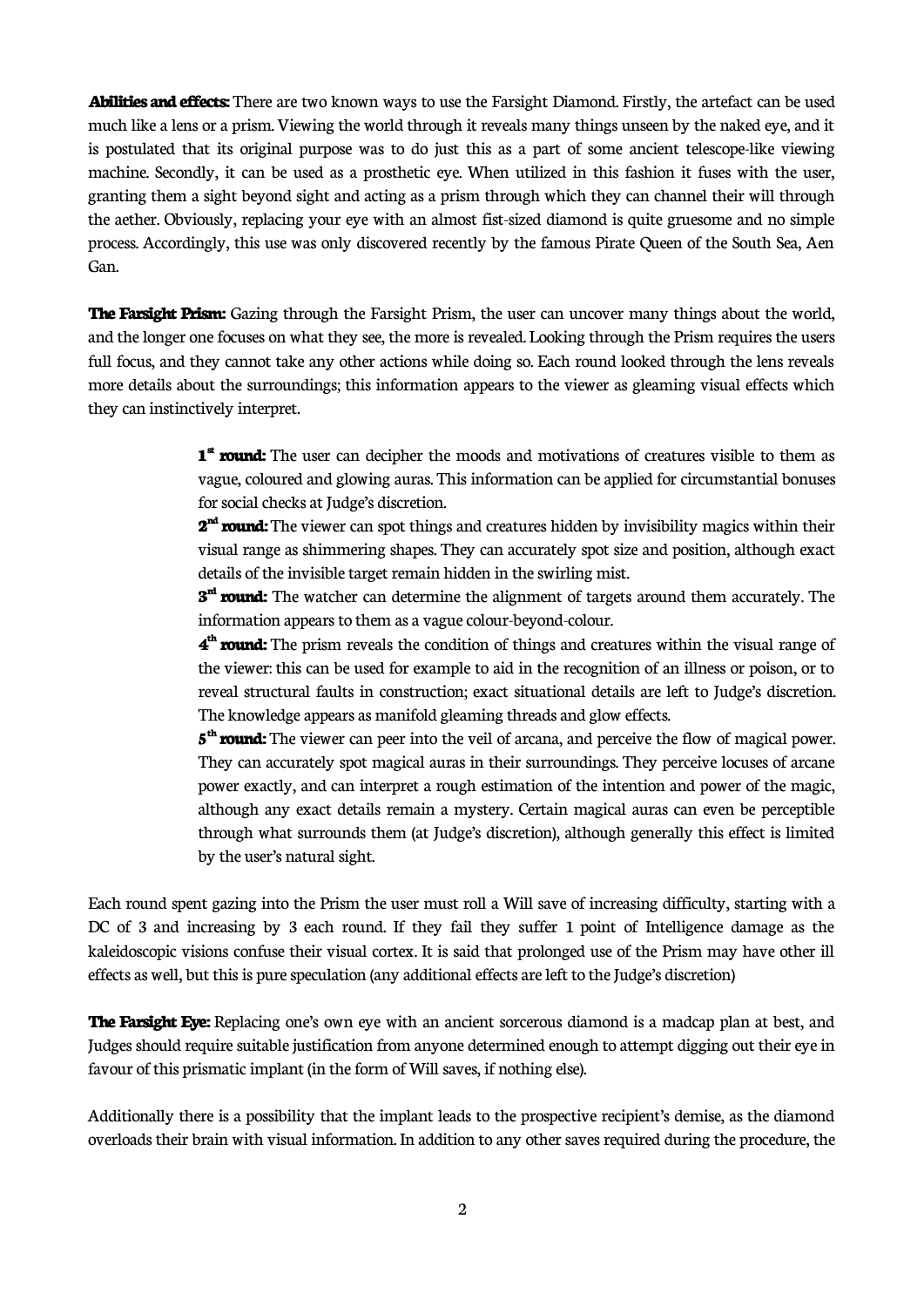**Abilities and effects:** There are two known ways to use the Farsight Diamond. Firstly, the artefact can be used much like a lens or a prism. Viewing the world through it reveals many things unseen by the naked eye, and it is postulated that its original purpose was to do just this as a part of some ancient telescope-like viewing machine. Secondly, it can be used as a prosthetic eye. When utilized in this fashion it fuses with the user, granting them a sight beyond sight and acting as a prism through which they can channel their will through the aether. Obviously, replacing your eye with an almost fist-sized diamond is quite gruesome and no simple process. Accordingly, this use was only discovered recently by the famous Pirate Queen of the South Sea, Aen Gan.

**The Farsight Prism:** Gazing through the Farsight Prism, the user can uncover many things about the world, and the longer one focuses on what they see, the more is revealed. Looking through the Prism requires the users full focus, and they cannot take any other actions while doing so. Each round looked through the lens reveals more details about the surroundings; this information appears to the viewer as gleaming visual effects which they can instinctively interpret.

> **1 st round:** The user can decipher the moods and motivations of creatures visible to them as vague, coloured and glowing auras. This information can be applied for circumstantial bonuses for social checks at Judge's discretion.

> **2 nd round:** The viewer can spot things and creatures hidden by invisibility magics within their visual range as shimmering shapes. They can accurately spot size and position, although exact details of the invisible target remain hidden in the swirling mist.

> **3 rd round:** The watcher can determine the alignment of targets around them accurately. The information appears to them as a vague colour-beyond-colour.

> **4 th round:** The prism reveals the condition of things and creatures within the visual range of the viewer: this can be used for example to aid in the recognition of an illness or poison, or to reveal structural faults in construction; exact situational details are left to Judge's discretion. The knowledge appears as manifold gleaming threads and glow effects.

> **5 th round:** The viewer can peer into the veil of arcana, and perceive the flow of magical power. They can accurately spot magical auras in their surroundings. They perceive locuses of arcane power exactly, and can interpret a rough estimation of the intention and power of the magic, although any exact details remain a mystery. Certain magical auras can even be perceptible through what surrounds them (at Judge's discretion), although generally this effect is limited by the user's natural sight.

Each round spent gazing into the Prism the user must roll a Will save of increasing difficulty, starting with a DC of 3 and increasing by 3 each round. If they fail they suffer 1 point of Intelligence damage as the kaleidoscopic visions confuse their visual cortex. It is said that prolonged use of the Prism may have other ill effects as well, but this is pure speculation (any additional effects are left to the Judge's discretion)

**The Farsight Eye:** Replacing one's own eye with an ancient sorcerous diamond is a madcap plan at best, and Judges should require suitable justification from anyone determined enough to attempt digging out their eye in favour of this prismatic implant (in the form of Will saves, if nothing else).

Additionally there is a possibility that the implant leads to the prospective recipient's demise, as the diamond overloads their brain with visual information. In addition to any other saves required during the procedure, the